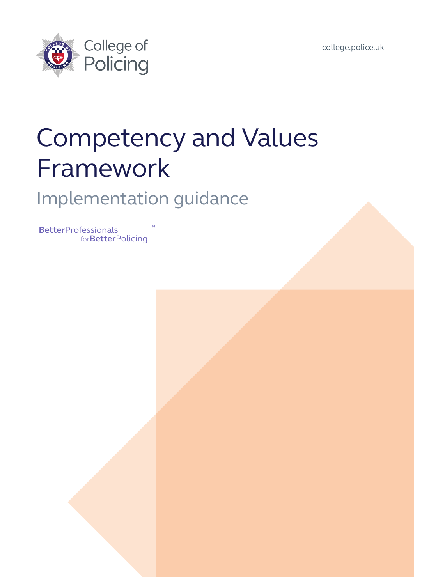[college.police.uk](http://www.college.police.uk)



# Competency and Values Framework

### Implementation guidance

**Better**Professionals for**Better**Policing ™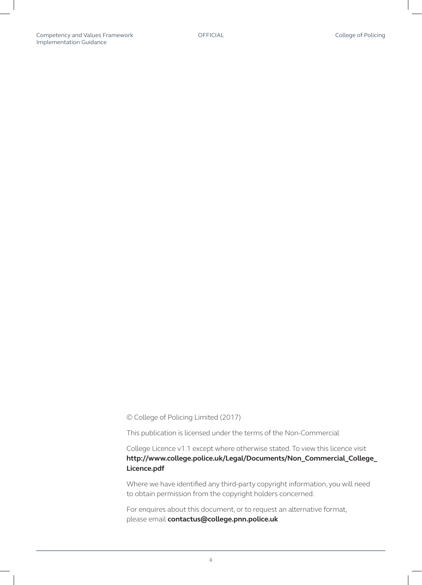© College of Policing Limited (2017)

This publication is licensed under the terms of the Non-Commercial

College Licence v1.1 except where otherwise stated. To view this licence visit **[http://www.college.police.uk/Legal/Documents/Non\\_Commercial\\_College\\_](http://www.college.police.uk/Legal/Documents/Non_Commercial_College_ Licence.pdf)  [Licence.pdf](http://www.college.police.uk/Legal/Documents/Non_Commercial_College_ Licence.pdf)**

Where we have identified any third-party copyright information, you will need to obtain permission from the copyright holders concerned.

For enquires about this document, or to request an alternative format, please email **[contactus@college.pnn.police.uk](mailto:contactus%40college.pnn.police.uk?subject=)**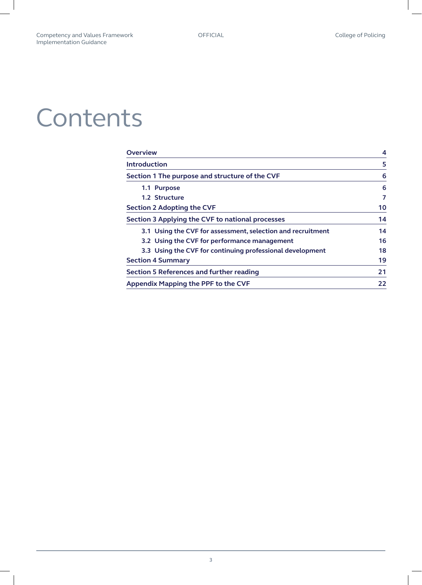# **Contents**

| <b>Overview</b>                                             | 4  |
|-------------------------------------------------------------|----|
| <b>Introduction</b>                                         | 5  |
| Section 1 The purpose and structure of the CVF              | 6  |
| 1.1 Purpose                                                 | 6  |
| 1.2 Structure                                               |    |
| <b>Section 2 Adopting the CVF</b>                           | 10 |
| Section 3 Applying the CVF to national processes            | 14 |
| 3.1 Using the CVF for assessment, selection and recruitment | 14 |
| 3.2 Using the CVF for performance management                | 16 |
| 3.3 Using the CVF for continuing professional development   | 18 |
| <b>Section 4 Summary</b>                                    | 19 |
| <b>Section 5 References and further reading</b>             | 21 |
| <b>Appendix Mapping the PPF to the CVF</b>                  | 22 |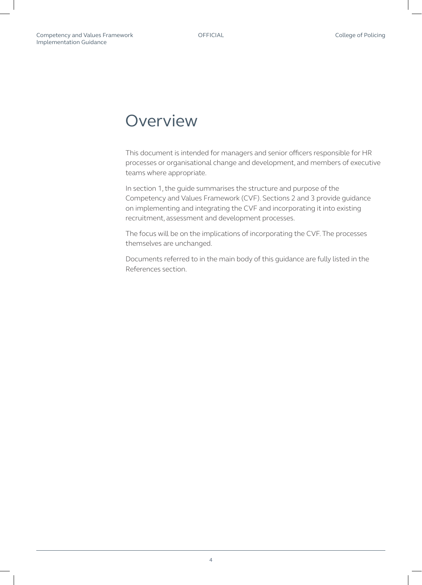### <span id="page-3-0"></span>**Overview**

This document is intended for managers and senior officers responsible for HR processes or organisational change and development, and members of executive teams where appropriate.

In section 1, the guide summarises the structure and purpose of the Competency and Values Framework (CVF). Sections 2 and 3 provide guidance on implementing and integrating the CVF and incorporating it into existing recruitment, assessment and development processes.

The focus will be on the implications of incorporating the CVF. The processes themselves are unchanged.

Documents referred to in the main body of this guidance are fully listed in the References section.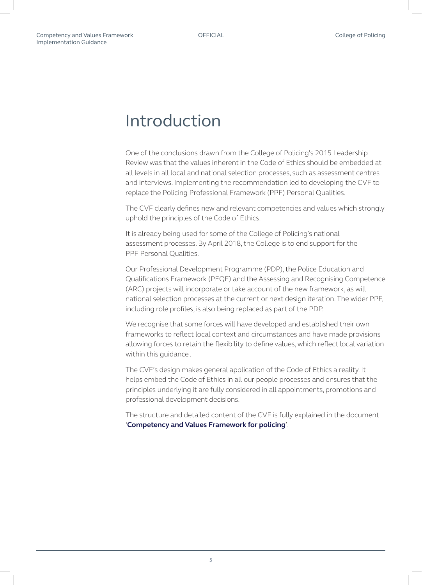### <span id="page-4-0"></span>Introduction

One of the conclusions drawn from the College of Policing's 2015 Leadership Review was that the values inherent in the Code of Ethics should be embedded at all levels in all local and national selection processes, such as assessment centres and interviews. Implementing the recommendation led to developing the CVF to replace the Policing Professional Framework (PPF) Personal Qualities.

The CVF clearly defines new and relevant competencies and values which strongly uphold the principles of the Code of Ethics.

It is already being used for some of the College of Policing's national assessment processes. By April 2018, the College is to end support for the PPF Personal Qualities.

Our Professional Development Programme (PDP), the Police Education and Qualifications Framework (PEQF) and the Assessing and Recognising Competence (ARC) projects will incorporate or take account of the new framework, as will national selection processes at the current or next design iteration. The wider PPF, including role profiles, is also being replaced as part of the PDP.

We recognise that some forces will have developed and established their own frameworks to reflect local context and circumstances and have made provisions allowing forces to retain the flexibility to define values, which reflect local variation within this guidance .

The CVF's design makes general application of the Code of Ethics a reality. It helps embed the Code of Ethics in all our people processes and ensures that the principles underlying it are fully considered in all appointments, promotions and professional development decisions.

The structure and detailed content of the CVF is fully explained in the document '**[Competency and Values Framework for policing](http://www.college.police.uk/What-we-do/Development/competency-and-values-framework/Documents/Competency-and-Values-Framework-for-Policing_4.11.16.pdf)**'.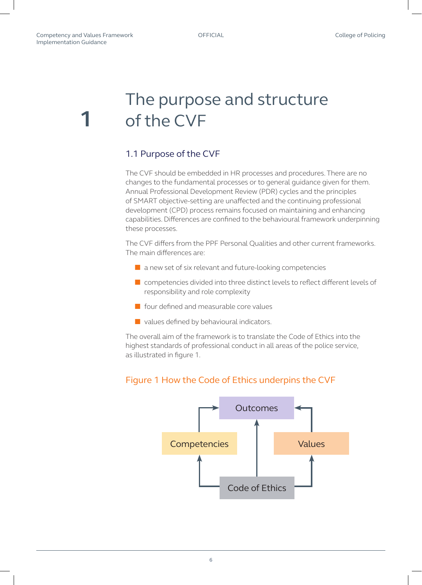<span id="page-5-0"></span>**1**

### The purpose and structure of the CVF

#### 1.1 Purpose of the CVF

The CVF should be embedded in HR processes and procedures. There are no changes to the fundamental processes or to general guidance given for them. Annual Professional Development Review (PDR) cycles and the principles of SMART objective-setting are unaffected and the continuing professional development (CPD) process remains focused on maintaining and enhancing capabilities. Differences are confined to the behavioural framework underpinning these processes.

The CVF differs from the PPF Personal Qualities and other current frameworks. The main differences are:

- a new set of six relevant and future-looking competencies
- competencies divided into three distinct levels to reflect different levels of responsibility and role complexity
- four defined and measurable core values
- values defined by behavioural indicators.

The overall aim of the framework is to translate the Code of Ethics into the highest standards of professional conduct in all areas of the police service, as illustrated in figure 1.



#### Figure 1 How the Code of Ethics underpins the CVF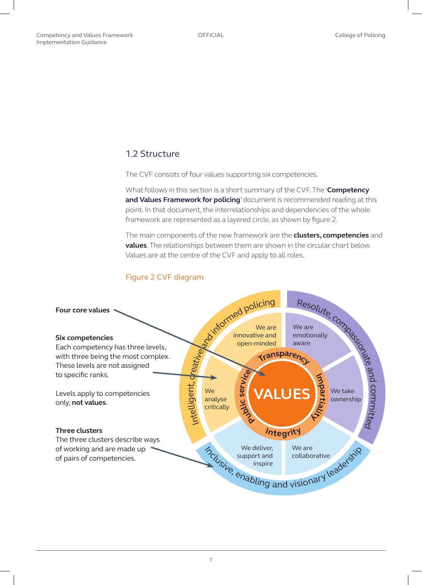#### <span id="page-6-0"></span>1.2 Structure

The CVF consists of four values supporting six competencies.

What follows in this section is a short summary of the CVF. The '**[Competency](http://www.college.police.uk/What-we-do/Development/competency-and-values-framework/Documents/Competency-and-Values-Framework-for-Policing_4.11.16.pdf)**  [and Values Framework for policing](http://www.college.police.uk/What-we-do/Development/competency-and-values-framework/Documents/Competency-and-Values-Framework-for-Policing_4.11.16.pdf)' document is recommended reading at this point. In that document, the interrelationships and dependencies of the whole framework are represented as a layered circle, as shown by figure 2.

The main components of the new framework are the **clusters, competencies** and **values**. The relationships between them are shown in the circular chart below. Values are at the centre of the CVF and apply to all roles.



#### Figure 2 CVF diagram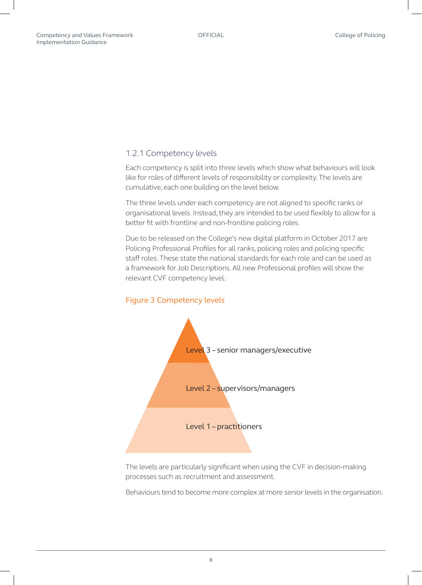#### 1.2.1 Competency levels

Each competency is split into three levels which show what behaviours will look like for roles of different levels of responsibility or complexity. The levels are cumulative, each one building on the level below.

The three levels under each competency are not aligned to specific ranks or organisational levels. Instead, they are intended to be used flexibly to allow for a better fit with frontline and non-frontline policing roles.

Due to be released on the College's new digital platform in October 2017 are Policing Professional Profiles for all ranks, policing roles and policing specific staff roles. These state the national standards for each role and can be used as a framework for Job Descriptions. All new Professional profiles will show the relevant CVF competency level.



The levels are particularly significant when using the CVF in decision-making processes such as recruitment and assessment.

Behaviours tend to become more complex at more senior levels in the organisation.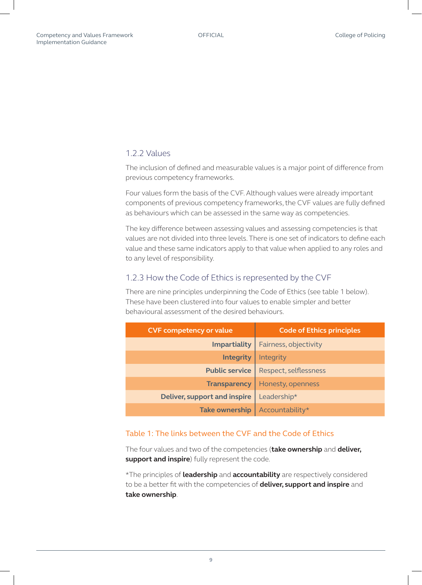#### 1.2.2 Values

The inclusion of defined and measurable values is a major point of difference from previous competency frameworks.

Four values form the basis of the CVF. Although values were already important components of previous competency frameworks, the CVF values are fully defined as behaviours which can be assessed in the same way as competencies.

The key difference between assessing values and assessing competencies is that values are not divided into three levels. There is one set of indicators to define each value and these same indicators apply to that value when applied to any roles and to any level of responsibility.

#### 1.2.3 How the Code of Ethics is represented by the CVF

There are nine principles underpinning the Code of Ethics (see table 1 below). These have been clustered into four values to enable simpler and better behavioural assessment of the desired behaviours.

| <b>CVF competency or value</b>      | <b>Code of Ethics principles</b> |
|-------------------------------------|----------------------------------|
| <b>Impartiality</b>                 | Fairness, objectivity            |
| <b>Integrity</b>                    | Integrity                        |
| <b>Public service</b>               | Respect, selflessness            |
| <b>Transparency</b>                 | Honesty, openness                |
| <b>Deliver, support and inspire</b> | Leadership*                      |
| <b>Take ownership</b>               | Accountability*                  |

#### Table 1: The links between the CVF and the Code of Ethics

The four values and two of the competencies (**take ownership** and **deliver, support and inspire**) fully represent the code.

\*The principles of **leadership** and **accountability** are respectively considered to be a better fit with the competencies of **deliver, support and inspire** and **take ownership**.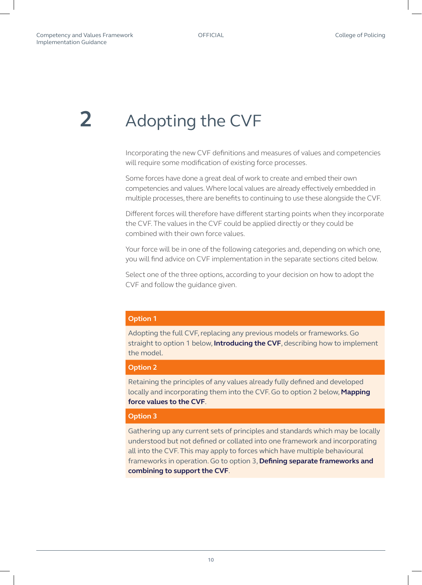## <span id="page-9-0"></span>**2** Adopting the CVF

Incorporating the new CVF definitions and measures of values and competencies will require some modification of existing force processes.

Some forces have done a great deal of work to create and embed their own competencies and values. Where local values are already effectively embedded in multiple processes, there are benefits to continuing to use these alongside the CVF.

Different forces will therefore have different starting points when they incorporate the CVF. The values in the CVF could be applied directly or they could be combined with their own force values.

Your force will be in one of the following categories and, depending on which one, you will find advice on CVF implementation in the separate sections cited below.

Select one of the three options, according to your decision on how to adopt the CVF and follow the guidance given.

#### **Option 1**

Adopting the full CVF, replacing any previous models or frameworks. Go straight to option 1 below, **[Introducing the CVF](#page-10-0)**, describing how to implement the model.

#### **Option 2**

Retaining the principles of any values already fully defined and developed locally and incorporating them into the CVF. Go to option 2 below, **[Mapping](#page-11-0)  [force values to the CVF](#page-11-0)**.

#### **Option 3**

Gathering up any current sets of principles and standards which may be locally understood but not defined or collated into one framework and incorporating all into the CVF. This may apply to forces which have multiple behavioural frameworks in operation. Go to option 3, **[Defining separate frameworks and](#page-12-0)  [combining to support the CVF](#page-12-0)**.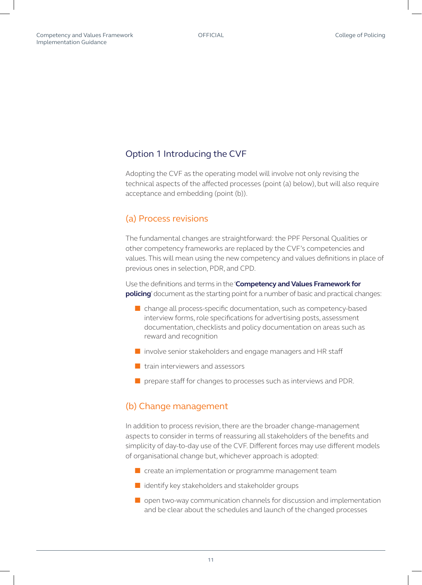#### <span id="page-10-0"></span>Option 1 Introducing the CVF

Adopting the CVF as the operating model will involve not only revising the technical aspects of the affected processes (point (a) below), but will also require acceptance and embedding (point (b)).

#### (a) Process revisions

The fundamental changes are straightforward: the PPF Personal Qualities or other competency frameworks are replaced by the CVF's competencies and values. This will mean using the new competency and values definitions in place of previous ones in selection, PDR, and CPD.

Use the definitions and terms in the '**[Competency and Values Framework for](http://www.college.police.uk/What-we-do/Development/competency-and-values-framework/Documents/Competency-and-Values-Framework-for-Policing_4.11.16.pdf)  [policing](http://www.college.police.uk/What-we-do/Development/competency-and-values-framework/Documents/Competency-and-Values-Framework-for-Policing_4.11.16.pdf)**' document as the starting point for a number of basic and practical changes:

- change all process-specific documentation, such as competency-based interview forms, role specifications for advertising posts, assessment documentation, checklists and policy documentation on areas such as reward and recognition
- involve senior stakeholders and engage managers and HR staff
- train interviewers and assessors
- prepare staff for changes to processes such as interviews and PDR.

#### (b) Change management

In addition to process revision, there are the broader change-management aspects to consider in terms of reassuring all stakeholders of the benefits and simplicity of day-to-day use of the CVF. Different forces may use different models of organisational change but, whichever approach is adopted:

- create an implementation or programme management team
- identify key stakeholders and stakeholder groups
- open two-way communication channels for discussion and implementation and be clear about the schedules and launch of the changed processes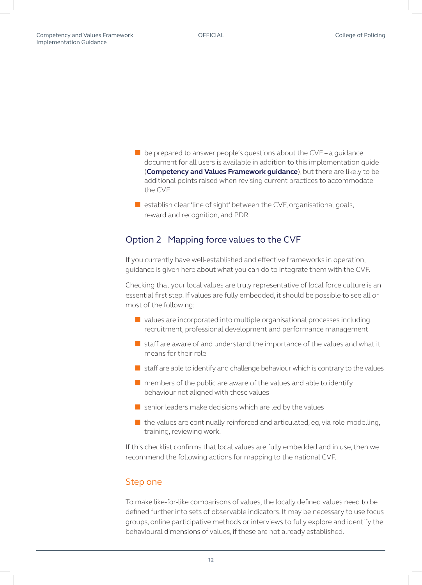- <span id="page-11-0"></span> $\blacksquare$  be prepared to answer people's questions about the CVF – a quidance document for all users is available in addition to this implementation guide (**[Competency and Values Framework guidance](http://www.college.police.uk/What-we-do/Development/competency-and-values-framework/Documents/Competency%20and%20Values%20Framework%20%E2%80%93%20Guidance.pdf)**), but there are likely to be additional points raised when revising current practices to accommodate the CVF
- $\blacksquare$  establish clear 'line of sight' between the CVF, organisational goals, reward and recognition, and PDR.

#### Option 2 Mapping force values to the CVF

If you currently have well-established and effective frameworks in operation, guidance is given here about what you can do to integrate them with the CVF.

Checking that your local values are truly representative of local force culture is an essential first step. If values are fully embedded, it should be possible to see all or most of the following:

- values are incorporated into multiple organisational processes including recruitment, professional development and performance management
- staff are aware of and understand the importance of the values and what it means for their role
- staff are able to identify and challenge behaviour which is contrary to the values
- $\blacksquare$  members of the public are aware of the values and able to identify behaviour not aligned with these values
- $\blacksquare$  senior leaders make decisions which are led by the values
- $\blacksquare$  the values are continually reinforced and articulated, eg, via role-modelling, training, reviewing work.

If this checklist confirms that local values are fully embedded and in use, then we recommend the following actions for mapping to the national CVF.

#### Step one

To make like-for-like comparisons of values, the locally defined values need to be defined further into sets of observable indicators. It may be necessary to use focus groups, online participative methods or interviews to fully explore and identify the behavioural dimensions of values, if these are not already established.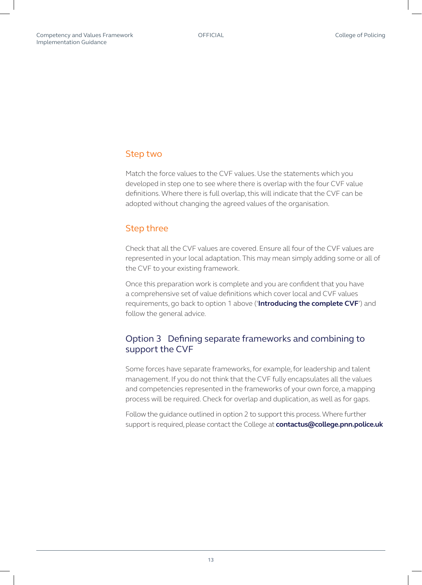#### <span id="page-12-0"></span>Step two

Match the force values to the CVF values. Use the statements which you developed in step one to see where there is overlap with the four CVF value definitions. Where there is full overlap, this will indicate that the CVF can be adopted without changing the agreed values of the organisation.

#### Step three

Check that all the CVF values are covered. Ensure all four of the CVF values are represented in your local adaptation. This may mean simply adding some or all of the CVF to your existing framework.

Once this preparation work is complete and you are confident that you have a comprehensive set of value definitions which cover local and CVF values requirements, go back to option 1 above ('**[Introducing the complete CVF](#page-10-0)**') and follow the general advice.

#### Option 3 Defining separate frameworks and combining to support the CVF

Some forces have separate frameworks, for example, for leadership and talent management. If you do not think that the CVF fully encapsulates all the values and competencies represented in the frameworks of your own force, a mapping process will be required. Check for overlap and duplication, as well as for gaps.

Follow the guidance outlined in option 2 to support this process. Where further support is required, please contact the College at **[contactus@college.pnn.police.uk](mailto:contactus%40college.pnn.police.uk?subject=)**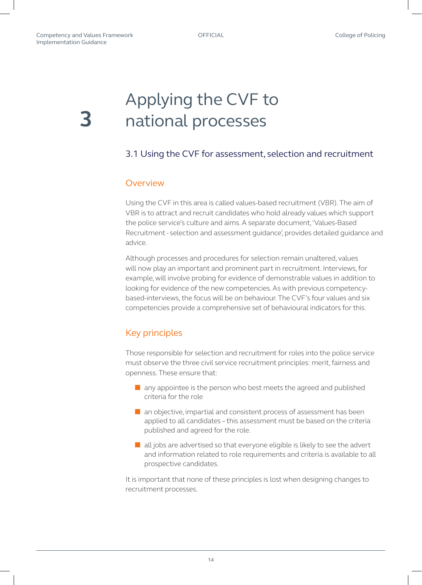# <span id="page-13-0"></span>**3**

### Applying the CVF to national processes

#### 3.1 Using the CVF for assessment, selection and recruitment

#### **Overview**

Using the CVF in this area is called values-based recruitment (VBR). The aim of VBR is to attract and recruit candidates who hold already values which support the police service's culture and aims. A separate document, 'Values-Based Recruitment - selection and assessment guidance', provides detailed guidance and advice.

Although processes and procedures for selection remain unaltered, values will now play an important and prominent part in recruitment. Interviews, for example, will involve probing for evidence of demonstrable values in addition to looking for evidence of the new competencies. As with previous competencybased-interviews, the focus will be on behaviour. The CVF's four values and six competencies provide a comprehensive set of behavioural indicators for this.

### Key principles

Those responsible for selection and recruitment for roles into the police service must observe the three civil service recruitment principles: merit, fairness and openness. These ensure that:

- $\blacksquare$  any appointee is the person who best meets the agreed and published criteria for the role
- an objective, impartial and consistent process of assessment has been applied to all candidates – this assessment must be based on the criteria published and agreed for the role.
- all jobs are advertised so that everyone eligible is likely to see the advert and information related to role requirements and criteria is available to all prospective candidates.

It is important that none of these principles is lost when designing changes to recruitment processes.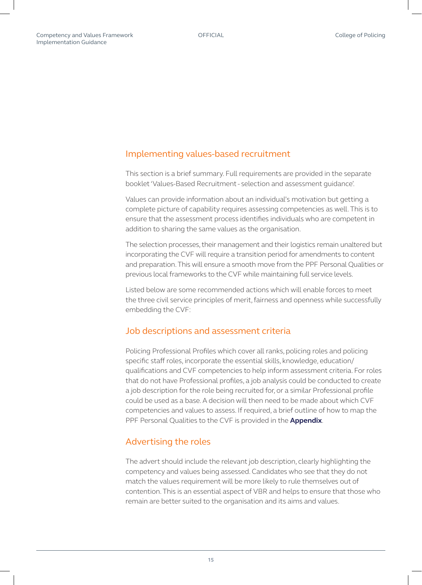#### Implementing values-based recruitment

This section is a brief summary. Full requirements are provided in the separate booklet 'Values-Based Recruitment - selection and assessment guidance'.

Values can provide information about an individual's motivation but getting a complete picture of capability requires assessing competencies as well. This is to ensure that the assessment process identifies individuals who are competent in addition to sharing the same values as the organisation.

The selection processes, their management and their logistics remain unaltered but incorporating the CVF will require a transition period for amendments to content and preparation. This will ensure a smooth move from the PPF Personal Qualities or previous local frameworks to the CVF while maintaining full service levels.

Listed below are some recommended actions which will enable forces to meet the three civil service principles of merit, fairness and openness while successfully embedding the CVF:

#### Job descriptions and assessment criteria

Policing Professional Profiles which cover all ranks, policing roles and policing specific staff roles, incorporate the essential skills, knowledge, education/ qualifications and CVF competencies to help inform assessment criteria. For roles that do not have Professional profiles, a job analysis could be conducted to create a job description for the role being recruited for, or a similar Professional profile could be used as a base. A decision will then need to be made about which CVF competencies and values to assess. If required, a brief outline of how to map the PPF Personal Qualities to the CVF is provided in the **[Appendix](#page-21-0)**.

#### Advertising the roles

The advert should include the relevant job description, clearly highlighting the competency and values being assessed. Candidates who see that they do not match the values requirement will be more likely to rule themselves out of contention. This is an essential aspect of VBR and helps to ensure that those who remain are better suited to the organisation and its aims and values.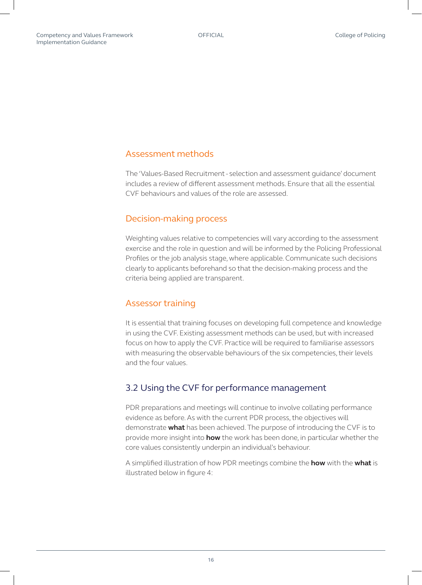#### <span id="page-15-0"></span>Assessment methods

The 'Values-Based Recruitment - selection and assessment guidance' document includes a review of different assessment methods. Ensure that all the essential CVF behaviours and values of the role are assessed.

#### Decision-making process

Weighting values relative to competencies will vary according to the assessment exercise and the role in question and will be informed by the Policing Professional Profiles or the job analysis stage, where applicable. Communicate such decisions clearly to applicants beforehand so that the decision-making process and the criteria being applied are transparent.

#### Assessor training

It is essential that training focuses on developing full competence and knowledge in using the CVF. Existing assessment methods can be used, but with increased focus on how to apply the CVF. Practice will be required to familiarise assessors with measuring the observable behaviours of the six competencies, their levels and the four values.

#### 3.2 Using the CVF for performance management

PDR preparations and meetings will continue to involve collating performance evidence as before. As with the current PDR process, the objectives will demonstrate **what** has been achieved. The purpose of introducing the CVF is to provide more insight into **how** the work has been done, in particular whether the core values consistently underpin an individual's behaviour.

A simplified illustration of how PDR meetings combine the **how** with the **what** is illustrated below in figure 4: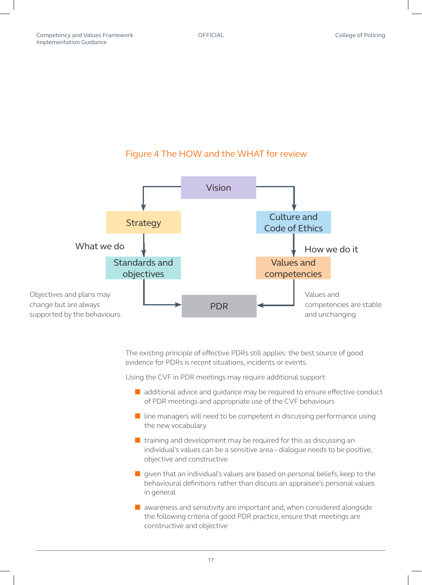#### Figure 4 The HOW and the WHAT for review



The existing principle of effective PDRs still applies: the best source of good evidence for PDRs is recent situations, incidents or events.

Using the CVF in PDR meetings may require additional support:

- additional advice and quidance may be required to ensure effective conduct of PDR meetings and appropriate use of the CVF behaviours
- $\blacksquare$  line managers will need to be competent in discussing performance using the new vocabulary
- training and development may be required for this as discussing an individual's values can be a sensitive area – dialogue needs to be positive, objective and constructive
- given that an individual's values are based on personal beliefs, keep to the behavioural definitions rather than discuss an appraisee's personal values in general
- awareness and sensitivity are important and, when considered alongside the following criteria of good PDR practice, ensure that meetings are constructive and objective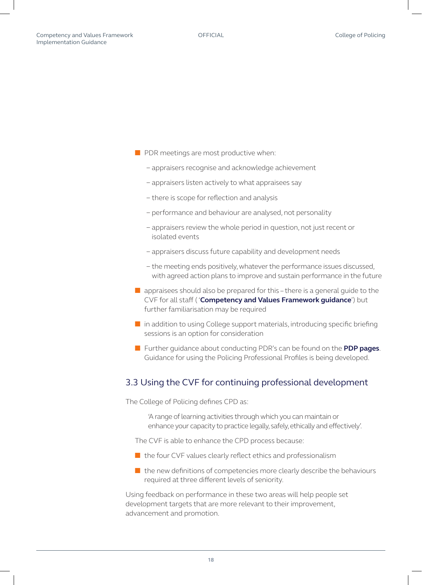- <span id="page-17-0"></span>■ PDR meetings are most productive when:
	- − appraisers recognise and acknowledge achievement
	- − appraisers listen actively to what appraisees say
	- − there is scope for reflection and analysis
	- − performance and behaviour are analysed, not personality
	- − appraisers review the whole period in question, not just recent or isolated events
	- − appraisers discuss future capability and development needs
	- − the meeting ends positively, whatever the performance issues discussed, with agreed action plans to improve and sustain performance in the future
- $\blacksquare$  appraisees should also be prepared for this there is a general guide to the CVF for all staff ( '**[Competency and Values Framework guidance](http://www.college.police.uk/What-we-do/Development/competency-and-values-framework/Documents/Competency%20and%20Values%20Framework)**') but further familiarisation may be required
- in addition to using College support materials, introducing specific briefing sessions is an option for consideration
- Further guidance about conducting PDR's can be found on the **[PDP pages](http://www.college.police.uk/What-we-do/Development/professional-development-programme/Pages/Professional-development-review.aspx)**. Guidance for using the Policing Professional Profiles is being developed.

#### 3.3 Using the CVF for continuing professional development

The College of Policing defines CPD as:

'A range of learning activities through which you can maintain or enhance your capacity to practice legally, safely, ethically and effectively'.

The CVF is able to enhance the CPD process because:

- the four CVF values clearly reflect ethics and professionalism
- the new definitions of competencies more clearly describe the behaviours required at three different levels of seniority.

Using feedback on performance in these two areas will help people set development targets that are more relevant to their improvement, advancement and promotion.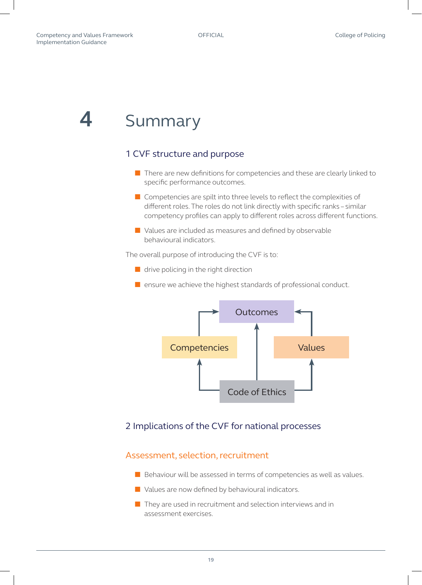### <span id="page-18-0"></span>**4** Summary

#### 1 CVF structure and purpose

- There are new definitions for competencies and these are clearly linked to specific performance outcomes.
- Competencies are spilt into three levels to reflect the complexities of different roles. The roles do not link directly with specific ranks – similar competency profiles can apply to different roles across different functions.
- Values are included as measures and defined by observable behavioural indicators.

The overall purpose of introducing the CVF is to:

- drive policing in the right direction
- ensure we achieve the highest standards of professional conduct.



#### 2 Implications of the CVF for national processes

#### Assessment, selection, recruitment

- Behaviour will be assessed in terms of competencies as well as values.
- Values are now defined by behavioural indicators.
- They are used in recruitment and selection interviews and in assessment exercises.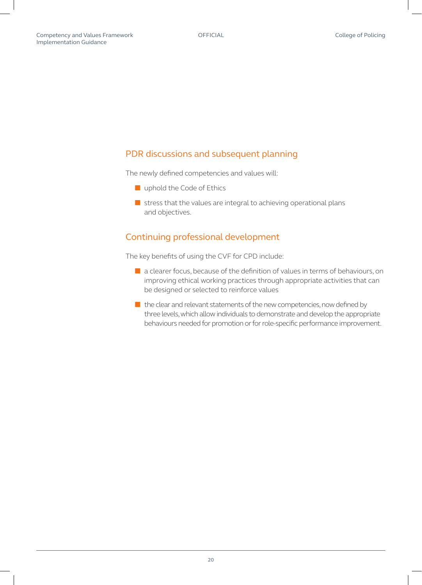#### PDR discussions and subsequent planning

The newly defined competencies and values will:

- uphold the Code of Ethics
- stress that the values are integral to achieving operational plans and objectives.

#### Continuing professional development

The key benefits of using the CVF for CPD include:

- a clearer focus, because of the definition of values in terms of behaviours, on improving ethical working practices through appropriate activities that can be designed or selected to reinforce values
- the clear and relevant statements of the new competencies, now defined by three levels, which allow individuals to demonstrate and develop the appropriate behaviours needed for promotion or for role-specific performance improvement.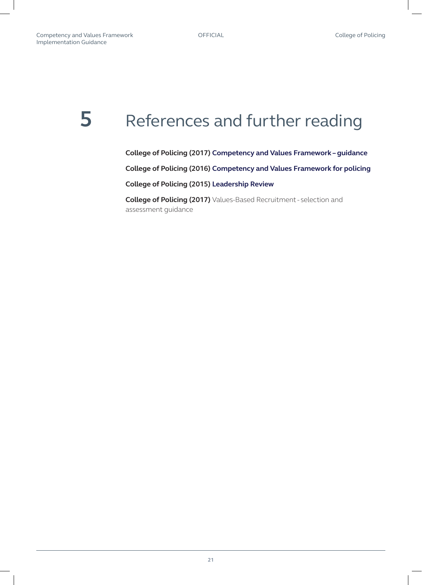### <span id="page-20-0"></span>**5** References and further reading

**College of Policing (2017) [Competency and Values Framework – guidance](http://www.college.police.uk/What-we-do/Development/competency-and-values-framework/Documents/Competency%20and%20Values%20Framework%20%E2%80%93%20Guidance.pdf)**

**College of Policing (2016) [Competency and Values Framework for policing](http://www.college.police.uk/What-we-do/Development/competency-and-values-framework/Documents/Competency-and-Values-Framework-for-Policing_4.11.16.pdf)**

**College of Policing (2015) [Leadership Review](http://www.college.police.uk/What-we-do/Development/Promotion/the-leadership-review/Documents/Leadership_Review_Final_June-2015.pdf )** 

**College of Policing (2017)** Values-Based Recruitment - selection and assessment guidance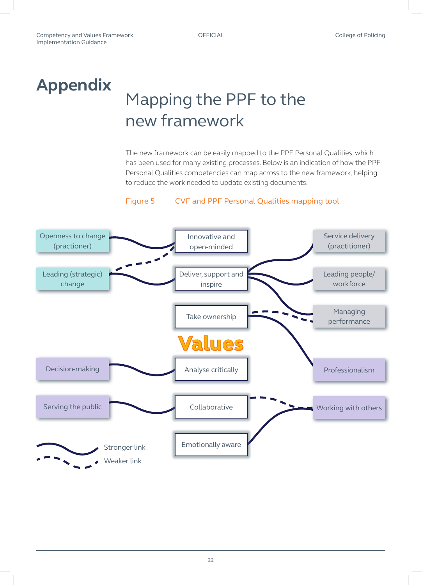### <span id="page-21-0"></span>**Appendix**

## Mapping the PPF to the new framework

The new framework can be easily mapped to the PPF Personal Qualities, which has been used for many existing processes. Below is an indication of how the PPF Personal Qualities competencies can map across to the new framework, helping to reduce the work needed to update existing documents.

#### Figure 5 CVF and PPF Personal Qualities mapping tool